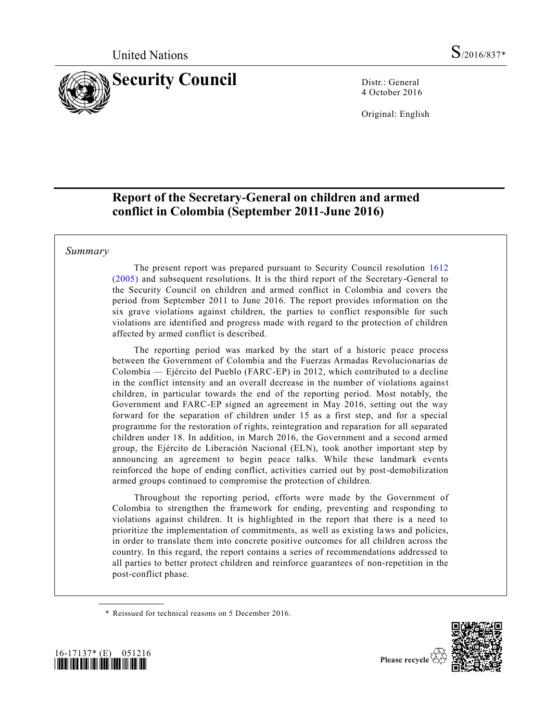

4 October 2016

Original: English

# **Report of the Secretary-General on children and armed conflict in Colombia (September 2011-June 2016)**

## *Summary*

The present report was prepared pursuant to Security Council resolution [1612](http://undocs.org/S/RES/1612(2005))  [\(2005\)](http://undocs.org/S/RES/1612(2005)) and subsequent resolutions. It is the third report of the Secretary-General to the Security Council on children and armed conflict in Colombia and covers the period from September 2011 to June 2016. The report provides information on the six grave violations against children, the parties to conflict responsible for such violations are identified and progress made with regard to the protection of children affected by armed conflict is described.

The reporting period was marked by the start of a historic peace process between the Government of Colombia and the Fuerzas Armadas Revolucionarias de Colombia — Ejército del Pueblo (FARC-EP) in 2012, which contributed to a decline in the conflict intensity and an overall decrease in the number of violations against children, in particular towards the end of the reporting period. Most notably, the Government and FARC-EP signed an agreement in May 2016, setting out the way forward for the separation of children under 15 as a first step, and for a special programme for the restoration of rights, reintegration and reparation for all separated children under 18. In addition, in March 2016, the Government and a second armed group, the Ejército de Liberación Nacional (ELN), took another important step by announcing an agreement to begin peace talks. While these landmark events reinforced the hope of ending conflict, activities carried out by post-demobilization armed groups continued to compromise the protection of children.

Throughout the reporting period, efforts were made by the Government of Colombia to strengthen the framework for ending, preventing and responding to violations against children. It is highlighted in the report that there is a need to prioritize the implementation of commitments, as well as existing laws and policies, in order to translate them into concrete positive outcomes for all children across the country. In this regard, the report contains a series of recommendations addressed to all parties to better protect children and reinforce guarantees of non-repetition in the post-conflict phase.

\* Reissued for technical reasons on 5 December 2016.



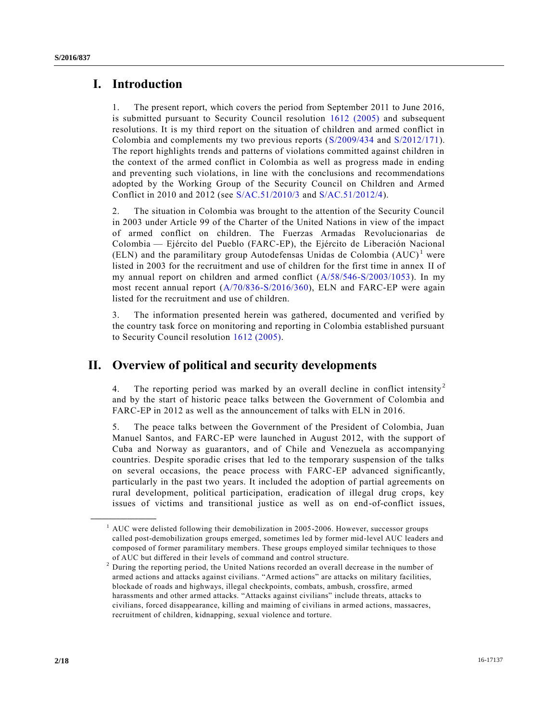# **I. Introduction**

1. The present report, which covers the period from September 2011 to June 2016, is submitted pursuant to Security Council resolution [1612 \(2005\)](http://undocs.org/S/RES/1612(2005)) and subsequent resolutions. It is my third report on the situation of children and armed conflict in Colombia and complements my two previous reports [\(S/2009/434](http://undocs.org/S/2009/434) and [S/2012/171\)](http://undocs.org/S/2012/171). The report highlights trends and patterns of violations committed against children in the context of the armed conflict in Colombia as well as progress made in ending and preventing such violations, in line with the conclusions and recommendations adopted by the Working Group of the Security Council on Children and Armed Conflict in 2010 and 2012 (see [S/AC.51/2010/3](http://undocs.org/S/AC.51/2010/3) and [S/AC.51/2012/4\)](http://undocs.org/S/AC.51/2012/4).

2. The situation in Colombia was brought to the attention of the Security Council in 2003 under Article 99 of the Charter of the United Nations in view of the impact of armed conflict on children. The Fuerzas Armadas Revolucionarias de Colombia — Ejército del Pueblo (FARC-EP), the Ejército de Liberación Nacional (ELN) and the paramilitary group Autodefensas Unidas de Colombia  $(AUC)^{1}$  were listed in 2003 for the recruitment and use of children for the first time in annex II of my annual report on children and armed conflict [\(A/58/546-S/2003/1053\)](http://undocs.org/A/58/546). In my most recent annual report  $(A/70/836-S/2016/360)$ , ELN and FARC-EP were again listed for the recruitment and use of children.

3. The information presented herein was gathered, documented and verified by the country task force on monitoring and reporting in Colombia established pursuant to Security Council resolution [1612 \(2005\).](http://undocs.org/S/RES/1612(2005))

# **II. Overview of political and security developments**

4. The reporting period was marked by an overall decline in conflict intensity<sup>2</sup> and by the start of historic peace talks between the Government of Colombia and FARC-EP in 2012 as well as the announcement of talks with ELN in 2016.

5. The peace talks between the Government of the President of Colombia, Juan Manuel Santos, and FARC-EP were launched in August 2012, with the support of Cuba and Norway as guarantors, and of Chile and Venezuela as accompanying countries. Despite sporadic crises that led to the temporary suspension of the talks on several occasions, the peace process with FARC-EP advanced significantly, particularly in the past two years. It included the adoption of partial agreements on rural development, political participation, eradication of illegal drug crops, key issues of victims and transitional justice as well as on end-of-conflict issues,

 $<sup>1</sup>$  AUC were delisted following their demobilization in 2005-2006. However, successor groups</sup> called post-demobilization groups emerged, sometimes led by former mid-level AUC leaders and composed of former paramilitary members. These groups employed similar techniques to those of AUC but differed in their levels of command and control structure.

<sup>2</sup> During the reporting period, the United Nations recorded an overall decrease in the number of armed actions and attacks against civilians. "Armed actions" are attacks on military facilities, blockade of roads and highways, illegal checkpoints, combats, ambush, crossfire, armed harassments and other armed attacks. "Attacks against civilians" include threats, attacks to civilians, forced disappearance, killing and maiming of civilians in armed actions, massacres, recruitment of children, kidnapping, sexual violence and torture.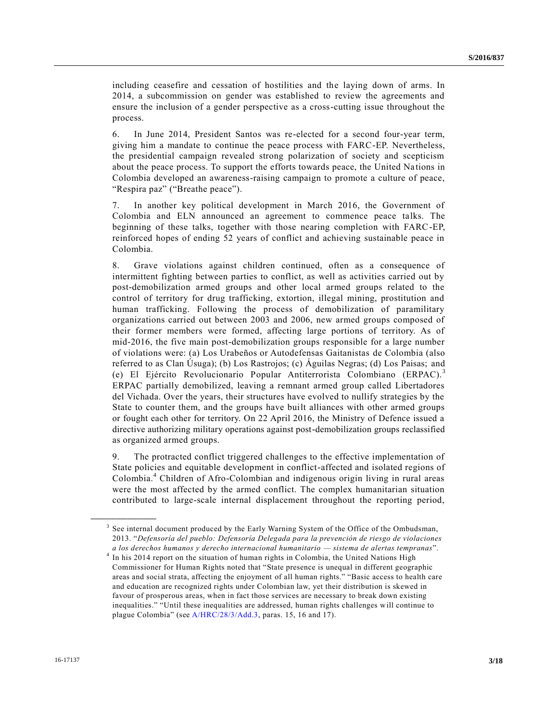including ceasefire and cessation of hostilities and the laying down of arms. In 2014, a subcommission on gender was established to review the agreements and ensure the inclusion of a gender perspective as a cross-cutting issue throughout the process.

6. In June 2014, President Santos was re-elected for a second four-year term, giving him a mandate to continue the peace process with FARC-EP. Nevertheless, the presidential campaign revealed strong polarization of society and scepticism about the peace process. To support the efforts towards peace, the United Na tions in Colombia developed an awareness-raising campaign to promote a culture of peace, "Respira paz" ("Breathe peace").

7. In another key political development in March 2016, the Government of Colombia and ELN announced an agreement to commence peace talks. The beginning of these talks, together with those nearing completion with FARC-EP, reinforced hopes of ending 52 years of conflict and achieving sustainable peace in Colombia.

8. Grave violations against children continued, often as a consequence of intermittent fighting between parties to conflict, as well as activities carried out by post-demobilization armed groups and other local armed groups related to the control of territory for drug trafficking, extortion, illegal mining, prostitution and human trafficking. Following the process of demobilization of paramilitary organizations carried out between 2003 and 2006, new armed groups composed of their former members were formed, affecting large portions of territory. As of mid-2016, the five main post-demobilization groups responsible for a large number of violations were: (a) Los Urabeños or Autodefensas Gaitanistas de Colombia (also referred to as Clan Úsuga); (b) Los Rastrojos; (c) Águilas Negras; (d) Los Paisas; and (e) El Ejército Revolucionario Popular Antiterrorista Colombiano (ERPAC).<sup>3</sup> ERPAC partially demobilized, leaving a remnant armed group called Libertadores del Vichada. Over the years, their structures have evolved to nullify strategies by the State to counter them, and the groups have built alliances with other armed groups or fought each other for territory. On 22 April 2016, the Ministry of Defence issued a directive authorizing military operations against post-demobilization groups reclassified as organized armed groups.

9. The protracted conflict triggered challenges to the effective implementation of State policies and equitable development in conflict-affected and isolated regions of Colombia.<sup>4</sup> Children of Afro-Colombian and indigenous origin living in rural areas were the most affected by the armed conflict. The complex humanitarian situation contributed to large-scale internal displacement throughout the reporting period,

<sup>&</sup>lt;sup>3</sup> See internal document produced by the Early Warning System of the Office of the Ombudsman, 2013. "*Defensoría del pueblo: Defensoría Delegada para la prevención de riesgo de violaciones a los derechos humanos y derecho internacional humanitario — sistema de alertas tempranas*".

<sup>&</sup>lt;sup>4</sup> In his 2014 report on the situation of human rights in Colombia, the United Nations High Commissioner for Human Rights noted that "State presence is unequal in different geographic areas and social strata, affecting the enjoyment of all human rights." "Basic access to health care and education are recognized rights under Colombian law, yet their distribution is skewed in favour of prosperous areas, when in fact those services are necessary to break down existing inequalities." "Until these inequalities are addressed, human rights challenges will continue to plague Colombia" (se[e A/HRC/28/3/Add.3,](http://undocs.org/A/HRC/28/3/Add.3) paras. 15, 16 and 17).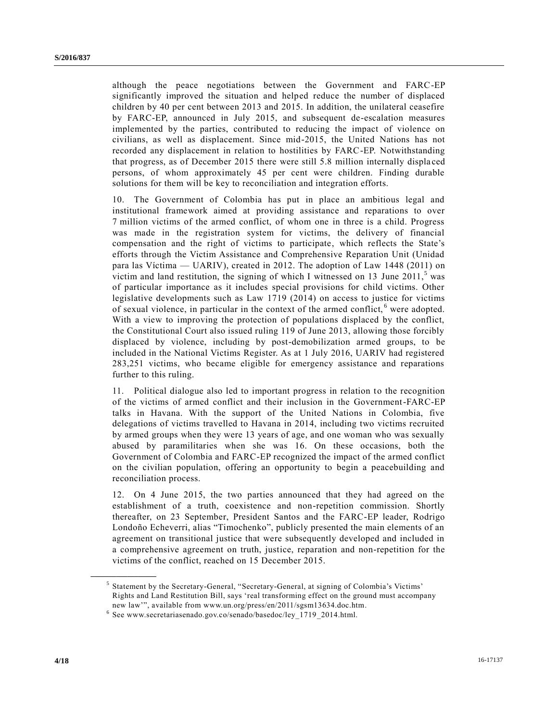although the peace negotiations between the Government and FARC-EP significantly improved the situation and helped reduce the number of displaced children by 40 per cent between 2013 and 2015. In addition, the unilateral ceasefire by FARC-EP, announced in July 2015, and subsequent de-escalation measures implemented by the parties, contributed to reducing the impact of violence on civilians, as well as displacement. Since mid-2015, the United Nations has not recorded any displacement in relation to hostilities by FARC-EP. Notwithstanding that progress, as of December 2015 there were still 5.8 million internally displa ced persons, of whom approximately 45 per cent were children. Finding durable solutions for them will be key to reconciliation and integration efforts.

10. The Government of Colombia has put in place an ambitious legal and institutional framework aimed at providing assistance and reparations to over 7 million victims of the armed conflict, of whom one in three is a child. Progress was made in the registration system for victims, the delivery of financial compensation and the right of victims to participate, which reflects the State's efforts through the Victim Assistance and Comprehensive Reparation Unit (Unidad para las Víctima — UARIV), created in 2012. The adoption of Law 1448 (2011) on victim and land restitution, the signing of which I witnessed on 13 June 2011, $<sup>5</sup>$  was</sup> of particular importance as it includes special provisions for child victims. Other legislative developments such as Law 1719 (2014) on access to justice for victims of sexual violence, in particular in the context of the armed conflict,<sup>6</sup> were adopted. With a view to improving the protection of populations displaced by the conflict, the Constitutional Court also issued ruling 119 of June 2013, allowing those forcibly displaced by violence, including by post-demobilization armed groups, to be included in the National Victims Register. As at 1 July 2016, UARIV had registered 283,251 victims, who became eligible for emergency assistance and reparations further to this ruling.

11. Political dialogue also led to important progress in relation to the recognition of the victims of armed conflict and their inclusion in the Government-FARC-EP talks in Havana. With the support of the United Nations in Colombia, five delegations of victims travelled to Havana in 2014, including two victims recruited by armed groups when they were 13 years of age, and one woman who was sexually abused by paramilitaries when she was 16. On these occasions, both the Government of Colombia and FARC-EP recognized the impact of the armed conflict on the civilian population, offering an opportunity to begin a peacebuilding and reconciliation process.

12. On 4 June 2015, the two parties announced that they had agreed on the establishment of a truth, coexistence and non-repetition commission. Shortly thereafter, on 23 September, President Santos and the FARC-EP leader, Rodrigo Londoño Echeverri, alias "Timochenko", publicly presented the main elements of an agreement on transitional justice that were subsequently developed and included in a comprehensive agreement on truth, justice, reparation and non-repetition for the victims of the conflict, reached on 15 December 2015.

<sup>&</sup>lt;sup>5</sup> Statement by the Secretary-General, "Secretary-General, at signing of Colombia's Victims' Rights and Land Restitution Bill, says 'real transforming effect on the ground must accompany new law'", available from www.un.org/press/en/2011/sgsm13634.doc.htm.

<sup>6</sup> See www.secretariasenado.gov.co/senado/basedoc/ley\_1719\_2014.html.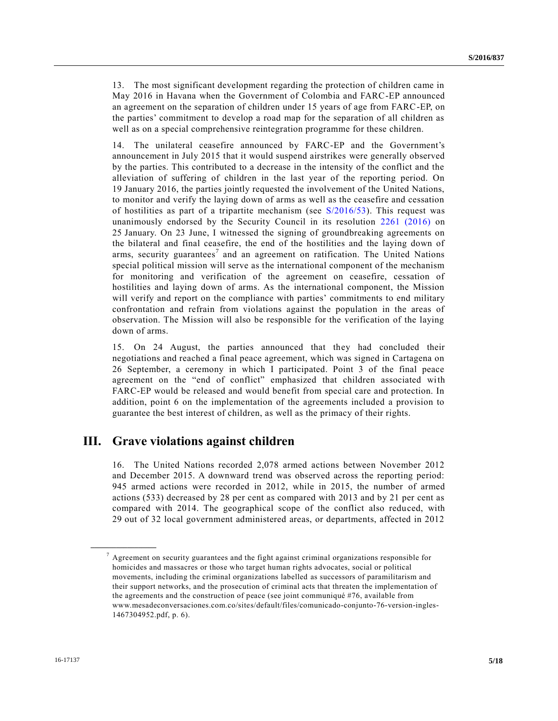13. The most significant development regarding the protection of children came in May 2016 in Havana when the Government of Colombia and FARC-EP announced an agreement on the separation of children under 15 years of age from FARC-EP, on the parties' commitment to develop a road map for the separation of all children as well as on a special comprehensive reintegration programme for these children.

14. The unilateral ceasefire announced by FARC-EP and the Government's announcement in July 2015 that it would suspend airstrikes were generally observed by the parties. This contributed to a decrease in the intensity of the conflict and the alleviation of suffering of children in the last year of the reporting period. On 19 January 2016, the parties jointly requested the involvement of the United Nations, to monitor and verify the laying down of arms as well as the ceasefire and cessation of hostilities as part of a tripartite mechanism (see [S/2016/53\)](http://undocs.org/S/2016/53). This request was unanimously endorsed by the Security Council in its resolution [2261 \(2016\)](http://undocs.org/S/RES/2261(2016)) on 25 January. On 23 June, I witnessed the signing of groundbreaking agreements on the bilateral and final ceasefire, the end of the hostilities and the laying down of arms, security guarantees<sup>7</sup> and an agreement on ratification. The United Nations special political mission will serve as the international component of the mechanism for monitoring and verification of the agreement on ceasefire, cessation of hostilities and laying down of arms. As the international component, the Mission will verify and report on the compliance with parties' commitments to end military confrontation and refrain from violations against the population in the areas of observation. The Mission will also be responsible for the verification of the laying down of arms.

15. On 24 August, the parties announced that they had concluded their negotiations and reached a final peace agreement, which was signed in Cartagena on 26 September, a ceremony in which I participated. Point 3 of the final peace agreement on the "end of conflict" emphasized that children associated with FARC-EP would be released and would benefit from special care and protection. In addition, point 6 on the implementation of the agreements included a provision to guarantee the best interest of children, as well as the primacy of their rights.

# **III. Grave violations against children**

16. The United Nations recorded 2,078 armed actions between November 2012 and December 2015. A downward trend was observed across the reporting period: 945 armed actions were recorded in 2012, while in 2015, the number of armed actions (533) decreased by 28 per cent as compared with 2013 and by 21 per cent as compared with 2014. The geographical scope of the conflict also reduced, with 29 out of 32 local government administered areas, or departments, affected in 2012

 $<sup>7</sup>$  Agreement on security guarantees and the fight against criminal organizations responsible for</sup> homicides and massacres or those who target human rights advocates, social or political movements, including the criminal organizations labelled as successors of paramilitarism and their support networks, and the prosecution of criminal acts that threaten the implementation of the agreements and the construction of peace (see joint communiqué #76, available from www.mesadeconversaciones.com.co/sites/default/files/comunicado-conjunto-76-version-ingles-1467304952.pdf, p. 6).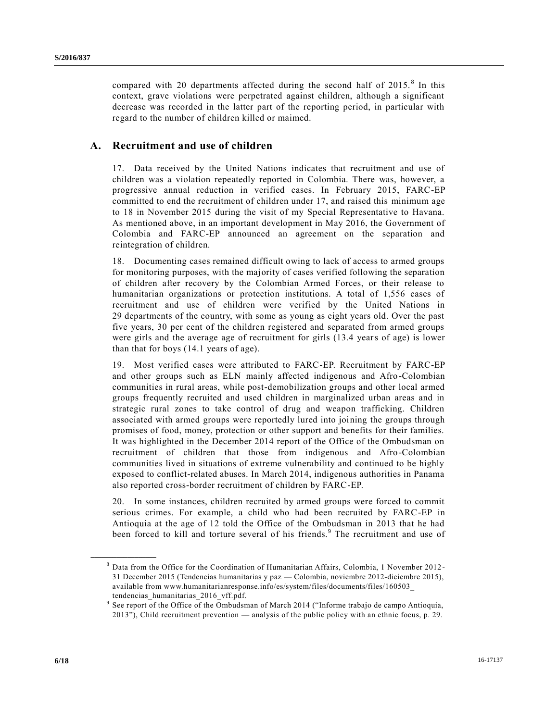compared with 20 departments affected during the second half of  $2015$ .<sup>8</sup> In this context, grave violations were perpetrated against children, although a significant decrease was recorded in the latter part of the reporting period, in particular with regard to the number of children killed or maimed.

# **A. Recruitment and use of children**

17. Data received by the United Nations indicates that recruitment and use of children was a violation repeatedly reported in Colombia. There was, however, a progressive annual reduction in verified cases. In February 2015, FARC-EP committed to end the recruitment of children under 17, and raised this minimum age to 18 in November 2015 during the visit of my Special Representative to Havana. As mentioned above, in an important development in May 2016, the Government of Colombia and FARC-EP announced an agreement on the separation and reintegration of children.

18. Documenting cases remained difficult owing to lack of access to armed groups for monitoring purposes, with the majority of cases verified following the separation of children after recovery by the Colombian Armed Forces, or their release to humanitarian organizations or protection institutions. A total of 1,556 cases of recruitment and use of children were verified by the United Nations in 29 departments of the country, with some as young as eight years old. Over the past five years, 30 per cent of the children registered and separated from armed groups were girls and the average age of recruitment for girls (13.4 years of age) is lower than that for boys (14.1 years of age).

19. Most verified cases were attributed to FARC-EP. Recruitment by FARC-EP and other groups such as ELN mainly affected indigenous and Afro-Colombian communities in rural areas, while post-demobilization groups and other local armed groups frequently recruited and used children in marginalized urban areas and in strategic rural zones to take control of drug and weapon trafficking. Children associated with armed groups were reportedly lured into joining the groups through promises of food, money, protection or other support and benefits for their families. It was highlighted in the December 2014 report of the Office of the Ombudsman on recruitment of children that those from indigenous and Afro-Colombian communities lived in situations of extreme vulnerability and continued to be highly exposed to conflict-related abuses. In March 2014, indigenous authorities in Panama also reported cross-border recruitment of children by FARC-EP.

20. In some instances, children recruited by armed groups were forced to commit serious crimes. For example, a child who had been recruited by FARC-EP in Antioquia at the age of 12 told the Office of the Ombudsman in 2013 that he had been forced to kill and torture several of his friends.<sup>9</sup> The recruitment and use of

<sup>8</sup> Data from the Office for the Coordination of Humanitarian Affairs, Colombia, 1 November 2012 - 31 December 2015 (Tendencias humanitarias y paz — Colombia, noviembre 2012-diciembre 2015), available from www.humanitarianresponse.info/es/system/files/documents/files/160503\_ tendencias\_humanitarias\_2016\_vff.pdf.

<sup>9</sup> See report of the Office of the Ombudsman of March 2014 ("Informe trabajo de campo Antioquia, 2013"), Child recruitment prevention — analysis of the public policy with an ethnic focus, p. 29.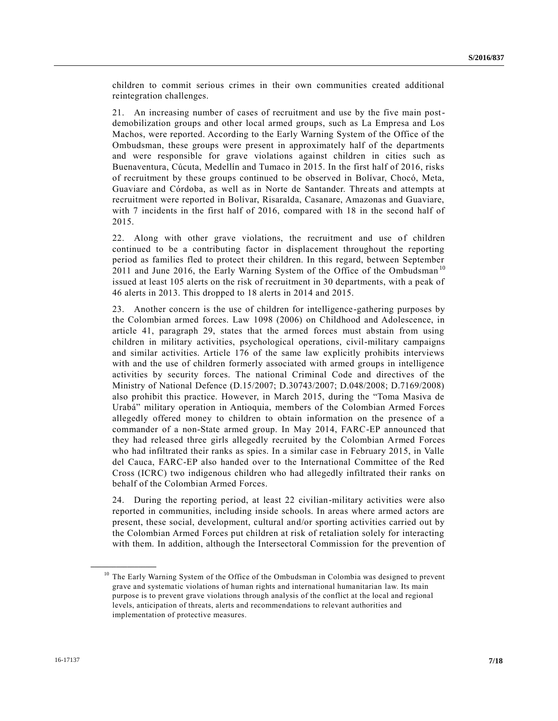children to commit serious crimes in their own communities created additional reintegration challenges.

21. An increasing number of cases of recruitment and use by the five main postdemobilization groups and other local armed groups, such as La Empresa and Los Machos, were reported. According to the Early Warning System of the Office of the Ombudsman, these groups were present in approximately half of the departments and were responsible for grave violations against children in cities such as Buenaventura, Cúcuta, Medellín and Tumaco in 2015. In the first half of 2016, risks of recruitment by these groups continued to be observed in Bolívar, Chocó, Meta, Guaviare and Córdoba, as well as in Norte de Santander. Threats and attempts at recruitment were reported in Bolívar, Risaralda, Casanare, Amazonas and Guaviare, with 7 incidents in the first half of 2016, compared with 18 in the second half of 2015.

22. Along with other grave violations, the recruitment and use of children continued to be a contributing factor in displacement throughout the reporting period as families fled to protect their children. In this regard, between September 2011 and June 2016, the Early Warning System of the Office of the Ombudsman<sup>10</sup> issued at least 105 alerts on the risk of recruitment in 30 departments, with a peak of 46 alerts in 2013. This dropped to 18 alerts in 2014 and 2015.

23. Another concern is the use of children for intelligence-gathering purposes by the Colombian armed forces. Law 1098 (2006) on Childhood and Adolescence, in article 41, paragraph 29, states that the armed forces must abstain from using children in military activities, psychological operations, civil-military campaigns and similar activities. Article 176 of the same law explicitly prohibits interviews with and the use of children formerly associated with armed groups in intelligence activities by security forces. The national Criminal Code and directives of the Ministry of National Defence (D.15/2007; D.30743/2007; D.048/2008; D.7169/2008) also prohibit this practice. However, in March 2015, during the "Toma Masiva de Urabá" military operation in Antioquia, members of the Colombian Armed Forces allegedly offered money to children to obtain information on the presence of a commander of a non-State armed group. In May 2014, FARC-EP announced that they had released three girls allegedly recruited by the Colombian Armed Forces who had infiltrated their ranks as spies. In a similar case in February 2015, in Valle del Cauca, FARC-EP also handed over to the International Committee of the Red Cross (ICRC) two indigenous children who had allegedly infiltrated their ranks on behalf of the Colombian Armed Forces.

24. During the reporting period, at least 22 civilian-military activities were also reported in communities, including inside schools. In areas where armed actors are present, these social, development, cultural and/or sporting activities carried out by the Colombian Armed Forces put children at risk of retaliation solely for interacting with them. In addition, although the Intersectoral Commission for the prevention of

<sup>&</sup>lt;sup>10</sup> The Early Warning System of the Office of the Ombudsman in Colombia was designed to prevent grave and systematic violations of human rights and international humanitarian law. Its main purpose is to prevent grave violations through analysis of the conflict at the local and regional levels, anticipation of threats, alerts and recommendations to relevant authorities and implementation of protective measures.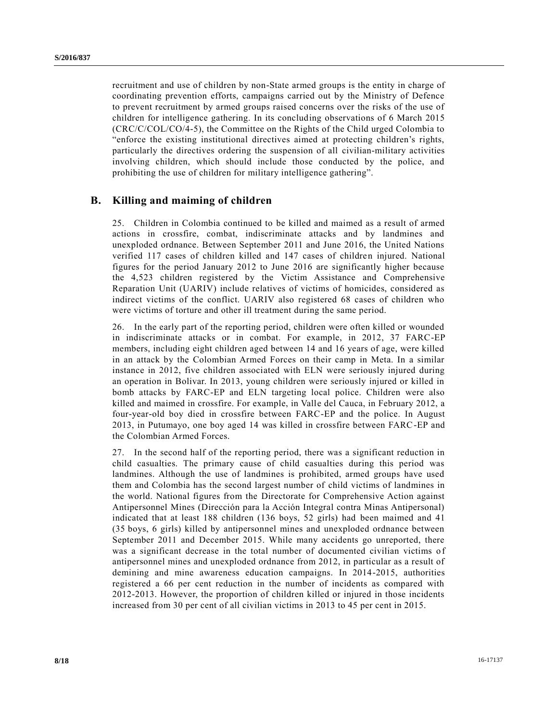recruitment and use of children by non-State armed groups is the entity in charge of coordinating prevention efforts, campaigns carried out by the Ministry of Defence to prevent recruitment by armed groups raised concerns over the risks of the use of children for intelligence gathering. In its concluding observations of 6 March 2015 (CRC/C/COL/CO/4-5), the Committee on the Rights of the Child urged Colombia to "enforce the existing institutional directives aimed at protecting children's rights, particularly the directives ordering the suspension of all civilian-military activities involving children, which should include those conducted by the police, and prohibiting the use of children for military intelligence gathering".

## **B. Killing and maiming of children**

25. Children in Colombia continued to be killed and maimed as a result of armed actions in crossfire, combat, indiscriminate attacks and by landmines and unexploded ordnance. Between September 2011 and June 2016, the United Nations verified 117 cases of children killed and 147 cases of children injured. National figures for the period January 2012 to June 2016 are significantly higher because the 4,523 children registered by the Victim Assistance and Comprehensive Reparation Unit (UARIV) include relatives of victims of homicides, considered as indirect victims of the conflict. UARIV also registered 68 cases of children who were victims of torture and other ill treatment during the same period.

26. In the early part of the reporting period, children were often killed or wounded in indiscriminate attacks or in combat. For example, in 2012, 37 FARC-EP members, including eight children aged between 14 and 16 years of age, were killed in an attack by the Colombian Armed Forces on their camp in Meta. In a similar instance in 2012, five children associated with ELN were seriously injured during an operation in Bolivar. In 2013, young children were seriously injured or killed in bomb attacks by FARC-EP and ELN targeting local police. Children were also killed and maimed in crossfire. For example, in Valle del Cauca, in February 2012, a four-year-old boy died in crossfire between FARC-EP and the police. In August 2013, in Putumayo, one boy aged 14 was killed in crossfire between FARC-EP and the Colombian Armed Forces.

27. In the second half of the reporting period, there was a significant reduction in child casualties. The primary cause of child casualties during this period was landmines. Although the use of landmines is prohibited, armed groups have used them and Colombia has the second largest number of child victims of landmines in the world. National figures from the Directorate for Comprehensive Action against Antipersonnel Mines (Dirección para la Acción Integral contra Minas Antipersonal) indicated that at least 188 children (136 boys, 52 girls) had been maimed and 41 (35 boys, 6 girls) killed by antipersonnel mines and unexploded ordnance between September 2011 and December 2015. While many accidents go unreported, there was a significant decrease in the total number of documented civilian victims of antipersonnel mines and unexploded ordnance from 2012, in particular as a result of demining and mine awareness education campaigns. In 2014-2015, authorities registered a 66 per cent reduction in the number of incidents as compared with 2012-2013. However, the proportion of children killed or injured in those incidents increased from 30 per cent of all civilian victims in 2013 to 45 per cent in 2015.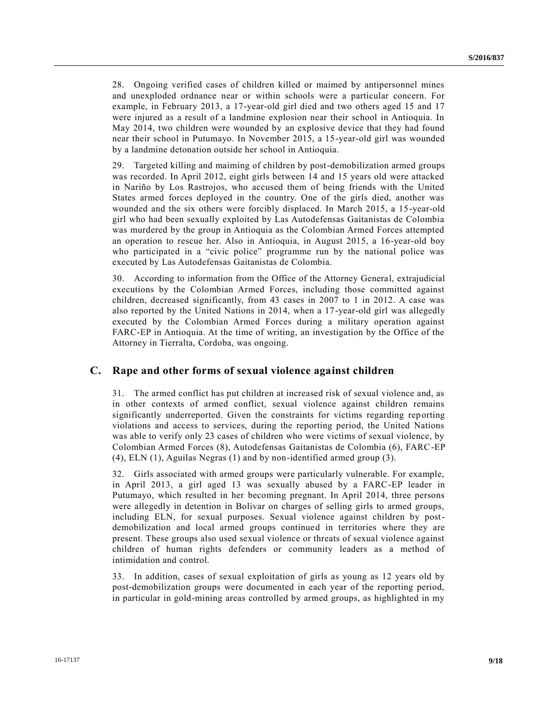28. Ongoing verified cases of children killed or maimed by antipersonnel mines and unexploded ordnance near or within schools were a particular concern. For example, in February 2013, a 17-year-old girl died and two others aged 15 and 17 were injured as a result of a landmine explosion near their school in Antioquia. In May 2014, two children were wounded by an explosive device that they had found near their school in Putumayo. In November 2015, a 15-year-old girl was wounded by a landmine detonation outside her school in Antioquia.

29. Targeted killing and maiming of children by post-demobilization armed groups was recorded. In April 2012, eight girls between 14 and 15 years old were attacked in Nariño by Los Rastrojos, who accused them of being friends with the United States armed forces deployed in the country. One of the girls died, another was wounded and the six others were forcibly displaced. In March 2015, a 15-year-old girl who had been sexually exploited by Las Autodefensas Gaitanistas de Colombia was murdered by the group in Antioquia as the Colombian Armed Forces attempted an operation to rescue her. Also in Antioquia, in August 2015, a 16-year-old boy who participated in a "civic police" programme run by the national police was executed by Las Autodefensas Gaitanistas de Colombia.

30. According to information from the Office of the Attorney General, extrajudicial executions by the Colombian Armed Forces, including those committed against children, decreased significantly, from 43 cases in 2007 to 1 in 2012. A case was also reported by the United Nations in 2014, when a 17-year-old girl was allegedly executed by the Colombian Armed Forces during a military operation against FARC-EP in Antioquia. At the time of writing, an investigation by the Office of the Attorney in Tierralta, Cordoba, was ongoing.

### **C. Rape and other forms of sexual violence against children**

31. The armed conflict has put children at increased risk of sexual violence and, as in other contexts of armed conflict, sexual violence against children remains significantly underreported. Given the constraints for victims regarding rep orting violations and access to services, during the reporting period, the United Nations was able to verify only 23 cases of children who were victims of sexual violence, by Colombian Armed Forces (8), Autodefensas Gaitanistas de Colombia (6), FARC-EP (4), ELN (1), Aguilas Negras (1) and by non-identified armed group (3).

32. Girls associated with armed groups were particularly vulnerable. For example, in April 2013, a girl aged 13 was sexually abused by a FARC-EP leader in Putumayo, which resulted in her becoming pregnant. In April 2014, three persons were allegedly in detention in Bolivar on charges of selling girls to armed groups, including ELN, for sexual purposes. Sexual violence against children by postdemobilization and local armed groups continued in territories where they are present. These groups also used sexual violence or threats of sexual violence against children of human rights defenders or community leaders as a method of intimidation and control.

33. In addition, cases of sexual exploitation of girls as young as 12 years old by post-demobilization groups were documented in each year of the reporting period, in particular in gold-mining areas controlled by armed groups, as highlighted in my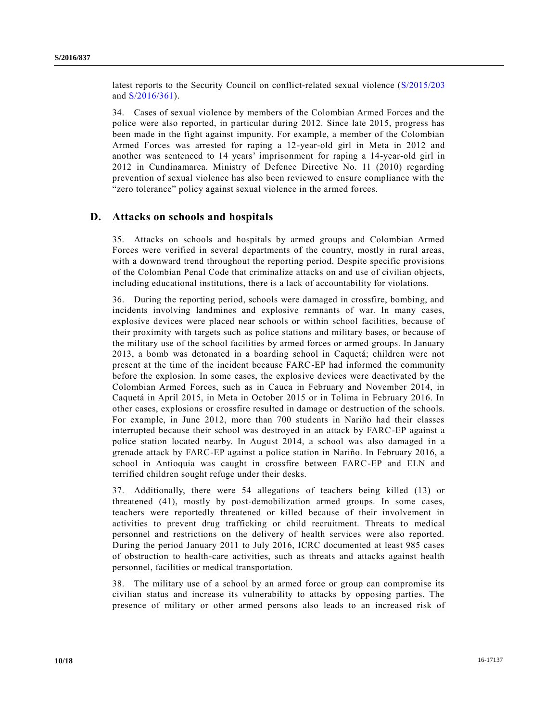latest reports to the Security Council on conflict-related sexual violence [\(S/2015/203](http://undocs.org/S/2015/203) and [S/2016/361\)](http://undocs.org/S/2016/361).

34. Cases of sexual violence by members of the Colombian Armed Forces and the police were also reported, in particular during 2012. Since late 2015, progress has been made in the fight against impunity. For example, a member of the Colombian Armed Forces was arrested for raping a 12-year-old girl in Meta in 2012 and another was sentenced to 14 years' imprisonment for raping a 14-year-old girl in 2012 in Cundinamarca. Ministry of Defence Directive No. 11 (2010) regarding prevention of sexual violence has also been reviewed to ensure compliance with the "zero tolerance" policy against sexual violence in the armed forces.

## **D. Attacks on schools and hospitals**

35. Attacks on schools and hospitals by armed groups and Colombian Armed Forces were verified in several departments of the country, mostly in rural areas, with a downward trend throughout the reporting period. Despite specific provisions of the Colombian Penal Code that criminalize attacks on and use of civilian objects, including educational institutions, there is a lack of accountability for violations.

36. During the reporting period, schools were damaged in crossfire, bombing, and incidents involving landmines and explosive remnants of war. In many cases, explosive devices were placed near schools or within school facilities, because of their proximity with targets such as police stations and military bases, or because of the military use of the school facilities by armed forces or armed groups. In January 2013, a bomb was detonated in a boarding school in Caquetá; children were not present at the time of the incident because FARC-EP had informed the community before the explosion. In some cases, the explosive devices were deactivated by the Colombian Armed Forces, such as in Cauca in February and November 2014, in Caquetá in April 2015, in Meta in October 2015 or in Tolima in February 2016. In other cases, explosions or crossfire resulted in damage or destruction of the schools. For example, in June 2012, more than 700 students in Nariño had their classes interrupted because their school was destroyed in an attack by FARC-EP against a police station located nearby. In August 2014, a school was also damaged in a grenade attack by FARC-EP against a police station in Nariño. In February 2016, a school in Antioquia was caught in crossfire between FARC-EP and ELN and terrified children sought refuge under their desks.

37. Additionally, there were 54 allegations of teachers being killed (13) or threatened (41), mostly by post-demobilization armed groups. In some cases, teachers were reportedly threatened or killed because of their involvement in activities to prevent drug trafficking or child recruitment. Threats to medical personnel and restrictions on the delivery of health services were also reported. During the period January 2011 to July 2016, ICRC documented at least 985 cases of obstruction to health-care activities, such as threats and attacks against health personnel, facilities or medical transportation.

38. The military use of a school by an armed force or group can compromise its civilian status and increase its vulnerability to attacks by opposing parties. The presence of military or other armed persons also leads to an increased risk of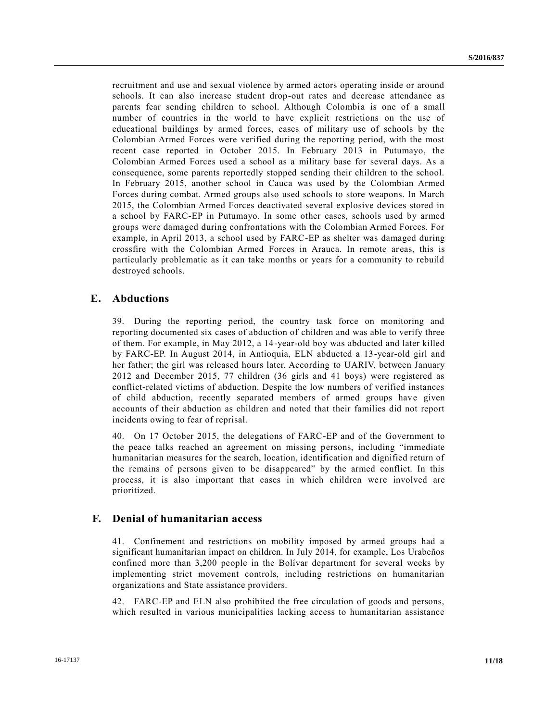recruitment and use and sexual violence by armed actors operating inside or around schools. It can also increase student drop-out rates and decrease attendance as parents fear sending children to school. Although Colombia is one of a small number of countries in the world to have explicit restrictions on the use of educational buildings by armed forces, cases of military use of schools by the Colombian Armed Forces were verified during the reporting period, with the most recent case reported in October 2015. In February 2013 in Putumayo, the Colombian Armed Forces used a school as a military base for several days. As a consequence, some parents reportedly stopped sending their children to the school. In February 2015, another school in Cauca was used by the Colombian Armed Forces during combat. Armed groups also used schools to store weapons. In March 2015, the Colombian Armed Forces deactivated several explosive devices stored in a school by FARC-EP in Putumayo. In some other cases, schools used by armed groups were damaged during confrontations with the Colombian Armed Forces. For example, in April 2013, a school used by FARC-EP as shelter was damaged during crossfire with the Colombian Armed Forces in Arauca. In remote areas, this is particularly problematic as it can take months or years for a community to rebuild destroyed schools.

### **E. Abductions**

39. During the reporting period, the country task force on monitoring and reporting documented six cases of abduction of children and was able to verify three of them. For example, in May 2012, a 14-year-old boy was abducted and later killed by FARC-EP. In August 2014, in Antioquia, ELN abducted a 13-year-old girl and her father; the girl was released hours later. According to UARIV, between January 2012 and December 2015, 77 children (36 girls and 41 boys) were registered as conflict-related victims of abduction. Despite the low numbers of verified instances of child abduction, recently separated members of armed groups have given accounts of their abduction as children and noted that their families did not report incidents owing to fear of reprisal.

40. On 17 October 2015, the delegations of FARC-EP and of the Government to the peace talks reached an agreement on missing persons, including "immediate humanitarian measures for the search, location, identification and dignified return of the remains of persons given to be disappeared" by the armed conflict. In this process, it is also important that cases in which children were involved are prioritized.

### **F. Denial of humanitarian access**

41. Confinement and restrictions on mobility imposed by armed groups had a significant humanitarian impact on children. In July 2014, for example, Los Urabeños confined more than 3,200 people in the Bolívar department for several weeks by implementing strict movement controls, including restrictions on humanitarian organizations and State assistance providers.

42. FARC-EP and ELN also prohibited the free circulation of goods and persons, which resulted in various municipalities lacking access to humanitarian assistance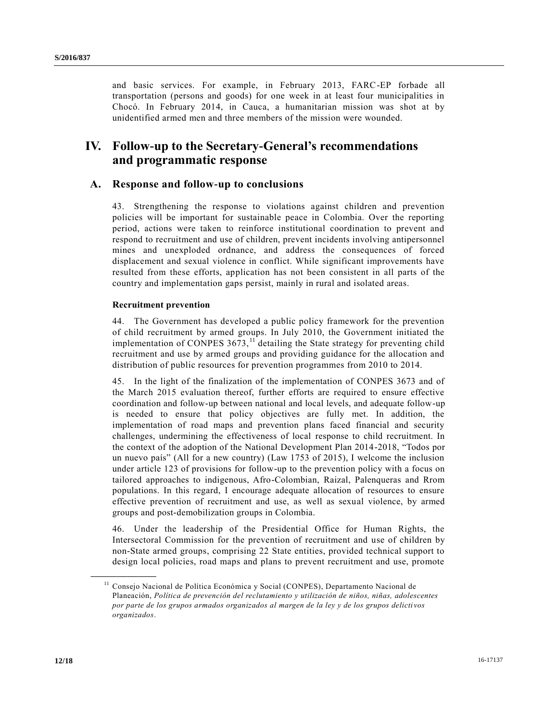and basic services. For example, in February 2013, FARC-EP forbade all transportation (persons and goods) for one week in at least four municipalities in Chocó. In February 2014, in Cauca, a humanitarian mission was shot at by unidentified armed men and three members of the mission were wounded.

# **IV. Follow-up to the Secretary-General's recommendations and programmatic response**

## **A. Response and follow-up to conclusions**

43. Strengthening the response to violations against children and prevention policies will be important for sustainable peace in Colombia. Over the reporting period, actions were taken to reinforce institutional coordination to prevent and respond to recruitment and use of children, prevent incidents involving antipersonnel mines and unexploded ordnance, and address the consequences of forced displacement and sexual violence in conflict. While significant improvements have resulted from these efforts, application has not been consistent in all parts of the country and implementation gaps persist, mainly in rural and isolated areas.

### **Recruitment prevention**

44. The Government has developed a public policy framework for the prevention of child recruitment by armed groups. In July 2010, the Government initiated the implementation of CONPES  $3673$ ,<sup>11</sup> detailing the State strategy for preventing child recruitment and use by armed groups and providing guidance for the allocation and distribution of public resources for prevention programmes from 2010 to 2014.

45. In the light of the finalization of the implementation of CONPES 3673 and of the March 2015 evaluation thereof, further efforts are required to ensure effective coordination and follow-up between national and local levels, and adequate follow-up is needed to ensure that policy objectives are fully met. In addition, the implementation of road maps and prevention plans faced financial and security challenges, undermining the effectiveness of local response to child recruitment. In the context of the adoption of the National Development Plan 2014-2018, "Todos por un nuevo país" (All for a new country) (Law 1753 of 2015), I welcome the inclusion under article 123 of provisions for follow-up to the prevention policy with a focus on tailored approaches to indigenous, Afro-Colombian, Raizal, Palenqueras and Rrom populations. In this regard, I encourage adequate allocation of resources to ensure effective prevention of recruitment and use, as well as sexual violence, by armed groups and post-demobilization groups in Colombia.

46. Under the leadership of the Presidential Office for Human Rights, the Intersectoral Commission for the prevention of recruitment and use of children by non-State armed groups, comprising 22 State entities, provided technical support to design local policies, road maps and plans to prevent recruitment and use, promote

<sup>11</sup> Consejo Nacional de Política Económica y Social (CONPES), Departamento Nacional de Planeación, *Política de prevención del reclutamiento y utilización de niños, niñas, adolescentes por parte de los grupos armados organizados al margen de la ley y de los grupos delicti vos organizados*.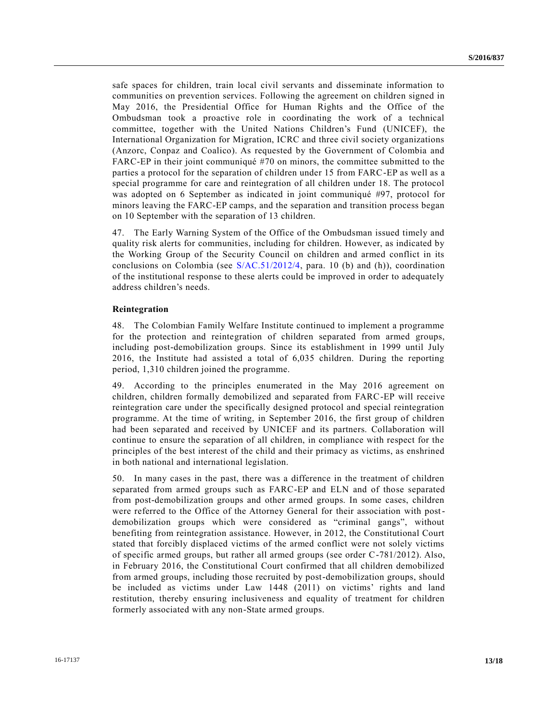safe spaces for children, train local civil servants and disseminate information to communities on prevention services. Following the agreement on children signed in May 2016, the Presidential Office for Human Rights and the Office of the Ombudsman took a proactive role in coordinating the work of a technical committee, together with the United Nations Children's Fund (UNICEF), the International Organization for Migration, ICRC and three civil society organizations (Anzorc, Conpaz and Coalico). As requested by the Government of Colombia and FARC-EP in their joint communiqué #70 on minors, the committee submitted to the parties a protocol for the separation of children under 15 from FARC-EP as well as a special programme for care and reintegration of all children under 18. The protocol was adopted on 6 September as indicated in joint communiqué #97, protocol for minors leaving the FARC-EP camps, and the separation and transition process began on 10 September with the separation of 13 children.

47. The Early Warning System of the Office of the Ombudsman issued timely and quality risk alerts for communities, including for children. However, as indicated by the Working Group of the Security Council on children and armed conflict in its conclusions on Colombia (see [S/AC.51/2012/4,](http://undocs.org/S/AC.51/2012/4) para. 10 (b) and (h)), coordination of the institutional response to these alerts could be improved in order to adequately address children's needs.

#### **Reintegration**

48. The Colombian Family Welfare Institute continued to implement a programme for the protection and reintegration of children separated from armed groups, including post-demobilization groups. Since its establishment in 1999 until July 2016, the Institute had assisted a total of 6,035 children. During the reporting period, 1,310 children joined the programme.

49. According to the principles enumerated in the May 2016 agreement on children, children formally demobilized and separated from FARC-EP will receive reintegration care under the specifically designed protocol and special reintegration programme. At the time of writing, in September 2016, the first group of children had been separated and received by UNICEF and its partners. Collaboration will continue to ensure the separation of all children, in compliance with respect for the principles of the best interest of the child and their primacy as victims, as enshrined in both national and international legislation.

50. In many cases in the past, there was a difference in the treatment of children separated from armed groups such as FARC-EP and ELN and of those separated from post-demobilization groups and other armed groups. In some cases, children were referred to the Office of the Attorney General for their association with postdemobilization groups which were considered as "criminal gangs", without benefiting from reintegration assistance. However, in 2012, the Constitutional Court stated that forcibly displaced victims of the armed conflict were not solely victims of specific armed groups, but rather all armed groups (see order C-781/2012). Also, in February 2016, the Constitutional Court confirmed that all children demobilized from armed groups, including those recruited by post-demobilization groups, should be included as victims under Law 1448 (2011) on victims' rights and land restitution, thereby ensuring inclusiveness and equality of treatment for children formerly associated with any non-State armed groups.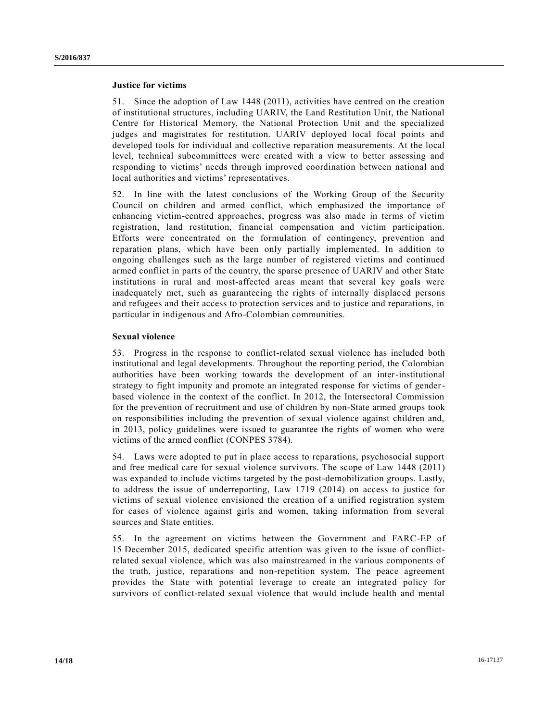### **Justice for victims**

51. Since the adoption of Law 1448 (2011), activities have centred on the creation of institutional structures, including UARIV, the Land Restitution Unit, the National Centre for Historical Memory, the National Protection Unit and the specialized judges and magistrates for restitution. UARIV deployed local focal points and developed tools for individual and collective reparation measurements. At the local level, technical subcommittees were created with a view to better assessing and responding to victims' needs through improved coordination between national and local authorities and victims' representatives.

52. In line with the latest conclusions of the Working Group of the Security Council on children and armed conflict, which emphasized the importance of enhancing victim-centred approaches, progress was also made in terms of victim registration, land restitution, financial compensation and victim participation. Efforts were concentrated on the formulation of contingency, prevention and reparation plans, which have been only partially implemented. In addition to ongoing challenges such as the large number of registered victims and continued armed conflict in parts of the country, the sparse presence of UARIV and other State institutions in rural and most-affected areas meant that several key goals were inadequately met, such as guaranteeing the rights of internally displaced persons and refugees and their access to protection services and to justice and reparations, in particular in indigenous and Afro-Colombian communities.

### **Sexual violence**

53. Progress in the response to conflict-related sexual violence has included both institutional and legal developments. Throughout the reporting period, the Colombian authorities have been working towards the development of an inter-institutional strategy to fight impunity and promote an integrated response for victims of genderbased violence in the context of the conflict. In 2012, the Intersectoral Commission for the prevention of recruitment and use of children by non-State armed groups took on responsibilities including the prevention of sexual violence against children and, in 2013, policy guidelines were issued to guarantee the rights of women who were victims of the armed conflict (CONPES 3784).

54. Laws were adopted to put in place access to reparations, psychosocial support and free medical care for sexual violence survivors. The scope of Law 1448 (2011) was expanded to include victims targeted by the post-demobilization groups. Lastly, to address the issue of underreporting, Law 1719 (2014) on access to justice for victims of sexual violence envisioned the creation of a unified registration system for cases of violence against girls and women, taking information from several sources and State entities.

55. In the agreement on victims between the Government and FARC-EP of 15 December 2015, dedicated specific attention was given to the issue of conflictrelated sexual violence, which was also mainstreamed in the various components of the truth, justice, reparations and non-repetition system. The peace agreement provides the State with potential leverage to create an integrated policy for survivors of conflict-related sexual violence that would include health and mental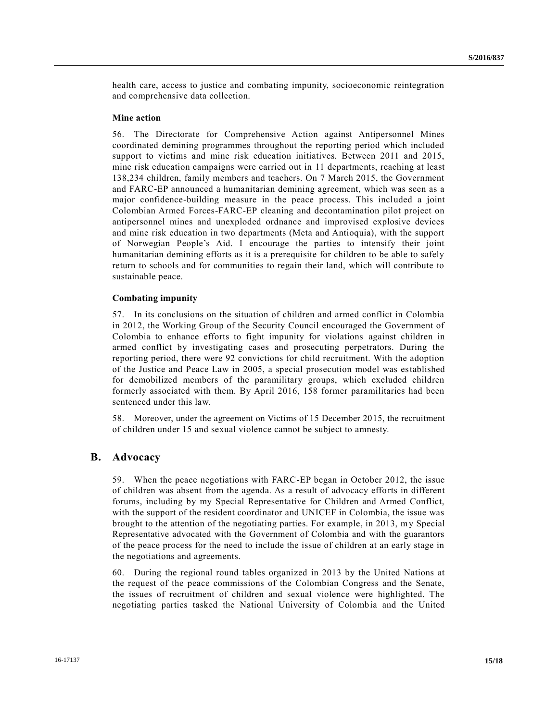health care, access to justice and combating impunity, socioeconomic reintegration and comprehensive data collection.

#### **Mine action**

56. The Directorate for Comprehensive Action against Antipersonnel Mines coordinated demining programmes throughout the reporting period which included support to victims and mine risk education initiatives. Between 2011 and 2015, mine risk education campaigns were carried out in 11 departments, reaching at least 138,234 children, family members and teachers. On 7 March 2015, the Government and FARC-EP announced a humanitarian demining agreement, which was seen as a major confidence-building measure in the peace process. This included a joint Colombian Armed Forces-FARC-EP cleaning and decontamination pilot project on antipersonnel mines and unexploded ordnance and improvised explosive devices and mine risk education in two departments (Meta and Antioquia), with the support of Norwegian People's Aid. I encourage the parties to intensify their joint humanitarian demining efforts as it is a prerequisite for children to be able to safely return to schools and for communities to regain their land, which will contribute to sustainable peace.

#### **Combating impunity**

57. In its conclusions on the situation of children and armed conflict in Colombia in 2012, the Working Group of the Security Council encouraged the Government of Colombia to enhance efforts to fight impunity for violations against children in armed conflict by investigating cases and prosecuting perpetrators. During the reporting period, there were 92 convictions for child recruitment. With the adoption of the Justice and Peace Law in 2005, a special prosecution model was established for demobilized members of the paramilitary groups, which excluded children formerly associated with them. By April 2016, 158 former paramilitaries had been sentenced under this law.

58. Moreover, under the agreement on Victims of 15 December 2015, the recruitment of children under 15 and sexual violence cannot be subject to amnesty.

### **B. Advocacy**

59. When the peace negotiations with FARC-EP began in October 2012, the issue of children was absent from the agenda. As a result of advocacy efforts in different forums, including by my Special Representative for Children and Armed Conflict, with the support of the resident coordinator and UNICEF in Colombia, the issue was brought to the attention of the negotiating parties. For example, in 2013, my Special Representative advocated with the Government of Colombia and with the guarantors of the peace process for the need to include the issue of children at an early stage in the negotiations and agreements.

60. During the regional round tables organized in 2013 by the United Nations at the request of the peace commissions of the Colombian Congress and the Senate, the issues of recruitment of children and sexual violence were highlighted. The negotiating parties tasked the National University of Colombia and the United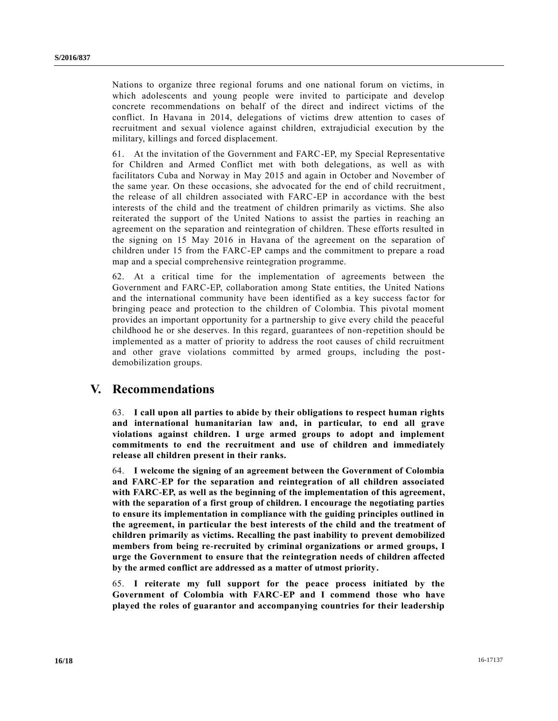Nations to organize three regional forums and one national forum on victims, in which adolescents and young people were invited to participate and develop concrete recommendations on behalf of the direct and indirect victims of the conflict. In Havana in 2014, delegations of victims drew attention to cases of recruitment and sexual violence against children, extrajudicial execution by the military, killings and forced displacement.

61. At the invitation of the Government and FARC-EP, my Special Representative for Children and Armed Conflict met with both delegations, as well as with facilitators Cuba and Norway in May 2015 and again in October and November of the same year. On these occasions, she advocated for the end of child recruitment , the release of all children associated with FARC-EP in accordance with the best interests of the child and the treatment of children primarily as victims. She also reiterated the support of the United Nations to assist the parties in reaching an agreement on the separation and reintegration of children. These efforts resulted in the signing on 15 May 2016 in Havana of the agreement on the separation of children under 15 from the FARC-EP camps and the commitment to prepare a road map and a special comprehensive reintegration programme.

62. At a critical time for the implementation of agreements between the Government and FARC-EP, collaboration among State entities, the United Nations and the international community have been identified as a key success factor for bringing peace and protection to the children of Colombia. This pivotal moment provides an important opportunity for a partnership to give every child the peaceful childhood he or she deserves. In this regard, guarantees of non-repetition should be implemented as a matter of priority to address the root causes of child recruitment and other grave violations committed by armed groups, including the postdemobilization groups.

# **V. Recommendations**

63. **I call upon all parties to abide by their obligations to respect human rights and international humanitarian law and, in particular, to end all grave violations against children. I urge armed groups to adopt and implement commitments to end the recruitment and use of children and immediately release all children present in their ranks.** 

64. **I welcome the signing of an agreement between the Government of Colombia and FARC-EP for the separation and reintegration of all children associated with FARC-EP, as well as the beginning of the implementation of this agreement, with the separation of a first group of children. I encourage the negotiating parties to ensure its implementation in compliance with the guiding principles outlined in the agreement, in particular the best interests of the child and the treatment of children primarily as victims. Recalling the past inability to prevent demobilized members from being re-recruited by criminal organizations or armed groups, I urge the Government to ensure that the reintegration needs of children affected by the armed conflict are addressed as a matter of utmost priority.** 

65. **I reiterate my full support for the peace process initiated by the Government of Colombia with FARC-EP and I commend those who have played the roles of guarantor and accompanying countries for their leadership**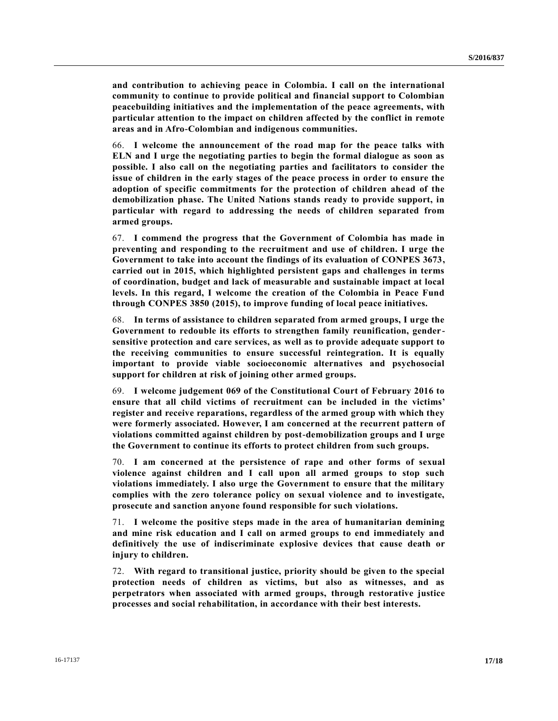**and contribution to achieving peace in Colombia. I call on the international community to continue to provide political and financial support to Colombian peacebuilding initiatives and the implementation of the peace agreements, with particular attention to the impact on children affected by the conflict in remote areas and in Afro-Colombian and indigenous communities.**

66. **I welcome the announcement of the road map for the peace talks with ELN and I urge the negotiating parties to begin the formal dialogue as soon as possible. I also call on the negotiating parties and facilitators to consider the issue of children in the early stages of the peace process in order to ensure the adoption of specific commitments for the protection of children ahead of the demobilization phase. The United Nations stands ready to provide support, in particular with regard to addressing the needs of children separated from armed groups.**

67. **I commend the progress that the Government of Colombia has made in preventing and responding to the recruitment and use of children. I urge the Government to take into account the findings of its evaluation of CONPES 3673, carried out in 2015, which highlighted persistent gaps and challenges in terms of coordination, budget and lack of measurable and sustainable impact at local levels. In this regard, I welcome the creation of the Colombia in Peace Fund through CONPES 3850 (2015), to improve funding of local peace initiatives.**

68. **In terms of assistance to children separated from armed groups, I urge the Government to redouble its efforts to strengthen family reunification, gendersensitive protection and care services, as well as to provide adequate support to the receiving communities to ensure successful reintegration. It is equally important to provide viable socioeconomic alternatives and psychosocial support for children at risk of joining other armed groups.** 

69. **I welcome judgement 069 of the Constitutional Court of February 2016 to ensure that all child victims of recruitment can be included in the victims' register and receive reparations, regardless of the armed group with which they were formerly associated. However, I am concerned at the recurrent pattern of violations committed against children by post-demobilization groups and I urge the Government to continue its efforts to protect children from such groups.**

70. **I am concerned at the persistence of rape and other forms of sexual violence against children and I call upon all armed groups to stop such violations immediately. I also urge the Government to ensure that the military complies with the zero tolerance policy on sexual violence and to investigate, prosecute and sanction anyone found responsible for such violations.**

71. **I welcome the positive steps made in the area of humanitarian demining and mine risk education and I call on armed groups to end immediately and definitively the use of indiscriminate explosive devices that cause death or injury to children.**

72. **With regard to transitional justice, priority should be given to the special protection needs of children as victims, but also as witnesses, and as perpetrators when associated with armed groups, through restorative justice processes and social rehabilitation, in accordance with their best interests.**